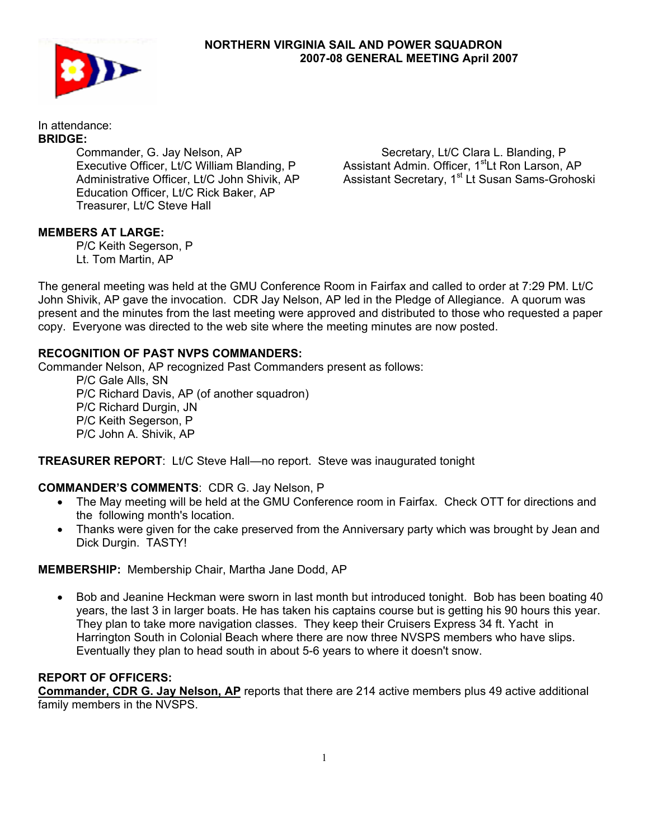

## **NORTHERN VIRGINIA SAIL AND POWER SQUADRON 2007-08 GENERAL MEETING April 2007**

In attendance: **BRIDGE:** 

 Commander, G. Jay Nelson, AP Executive Officer, Lt/C William Blanding, P Administrative Officer, Lt/C John Shivik, AP Education Officer, Lt/C Rick Baker, AP Treasurer, Lt/C Steve Hall

Secretary, Lt/C Clara L. Blanding, P Assistant Admin. Officer, 1<sup>st</sup>Lt Ron Larson, AP Assistant Secretary, 1<sup>st</sup> Lt Susan Sams-Grohoski

## **MEMBERS AT LARGE:**

P/C Keith Segerson, P Lt. Tom Martin, AP

The general meeting was held at the GMU Conference Room in Fairfax and called to order at 7:29 PM. Lt/C John Shivik, AP gave the invocation. CDR Jay Nelson, AP led in the Pledge of Allegiance. A quorum was present and the minutes from the last meeting were approved and distributed to those who requested a paper copy. Everyone was directed to the web site where the meeting minutes are now posted.

#### **RECOGNITION OF PAST NVPS COMMANDERS:**

Commander Nelson, AP recognized Past Commanders present as follows:

 P/C Gale Alls, SN P/C Richard Davis, AP (of another squadron) P/C Richard Durgin, JN P/C Keith Segerson, P P/C John A. Shivik, AP

**TREASURER REPORT**: Lt/C Steve Hall—no report. Steve was inaugurated tonight

## **COMMANDER'S COMMENTS**: CDR G. Jay Nelson, P

- The May meeting will be held at the GMU Conference room in Fairfax. Check OTT for directions and the following month's location.
- Thanks were given for the cake preserved from the Anniversary party which was brought by Jean and Dick Durgin. TASTY!

## **MEMBERSHIP:** Membership Chair, Martha Jane Dodd, AP

• Bob and Jeanine Heckman were sworn in last month but introduced tonight. Bob has been boating 40 years, the last 3 in larger boats. He has taken his captains course but is getting his 90 hours this year. They plan to take more navigation classes. They keep their Cruisers Express 34 ft. Yacht in Harrington South in Colonial Beach where there are now three NVSPS members who have slips. Eventually they plan to head south in about 5-6 years to where it doesn't snow.

# **REPORT OF OFFICERS:**

**Commander, CDR G. Jay Nelson, AP** reports that there are 214 active members plus 49 active additional family members in the NVSPS.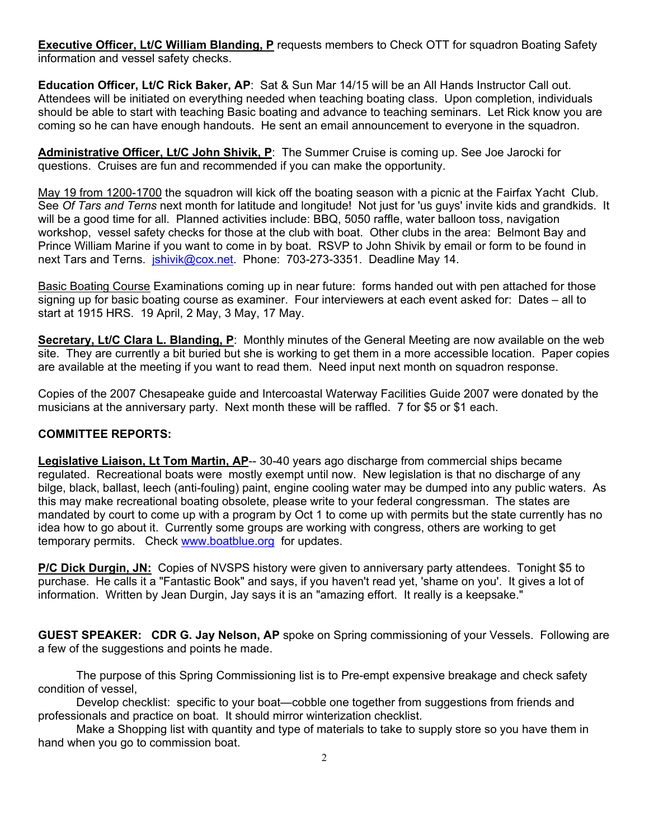**Executive Officer, Lt/C William Blanding, P** requests members to Check OTT for squadron Boating Safety information and vessel safety checks.

**Education Officer, Lt/C Rick Baker, AP**: Sat & Sun Mar 14/15 will be an All Hands Instructor Call out. Attendees will be initiated on everything needed when teaching boating class. Upon completion, individuals should be able to start with teaching Basic boating and advance to teaching seminars. Let Rick know you are coming so he can have enough handouts. He sent an email announcement to everyone in the squadron.

**Administrative Officer, Lt/C John Shivik, P**: The Summer Cruise is coming up. See Joe Jarocki for questions. Cruises are fun and recommended if you can make the opportunity.

May 19 from 1200-1700 the squadron will kick off the boating season with a picnic at the Fairfax Yacht Club. See *Of Tars and Terns* next month for latitude and longitude! Not just for 'us guys' invite kids and grandkids. It will be a good time for all. Planned activities include: BBQ, 5050 raffle, water balloon toss, navigation workshop, vessel safety checks for those at the club with boat. Other clubs in the area: Belmont Bay and Prince William Marine if you want to come in by boat. RSVP to John Shivik by email or form to be found in next Tars and Terns. *jshivik@cox.net*. Phone: 703-273-3351. Deadline May 14.

Basic Boating Course Examinations coming up in near future: forms handed out with pen attached for those signing up for basic boating course as examiner. Four interviewers at each event asked for: Dates – all to start at 1915 HRS. 19 April, 2 May, 3 May, 17 May.

**Secretary, Lt/C Clara L. Blanding, P**: Monthly minutes of the General Meeting are now available on the web site. They are currently a bit buried but she is working to get them in a more accessible location. Paper copies are available at the meeting if you want to read them. Need input next month on squadron response.

Copies of the 2007 Chesapeake guide and Intercoastal Waterway Facilities Guide 2007 were donated by the musicians at the anniversary party. Next month these will be raffled. 7 for \$5 or \$1 each.

#### **COMMITTEE REPORTS:**

**Legislative Liaison, Lt Tom Martin, AP**-- 30-40 years ago discharge from commercial ships became regulated. Recreational boats were mostly exempt until now. New legislation is that no discharge of any bilge, black, ballast, leech (anti-fouling) paint, engine cooling water may be dumped into any public waters. As this may make recreational boating obsolete, please write to your federal congressman. The states are mandated by court to come up with a program by Oct 1 to come up with permits but the state currently has no idea how to go about it. Currently some groups are working with congress, others are working to get temporary permits. Check www.boatblue.org for updates.

**P/C Dick Durgin, JN:** Copies of NVSPS history were given to anniversary party attendees. Tonight \$5 to purchase. He calls it a "Fantastic Book" and says, if you haven't read yet, 'shame on you'. It gives a lot of information. Written by Jean Durgin, Jay says it is an "amazing effort. It really is a keepsake."

**GUEST SPEAKER: CDR G. Jay Nelson, AP** spoke on Spring commissioning of your Vessels. Following are a few of the suggestions and points he made.

 The purpose of this Spring Commissioning list is to Pre-empt expensive breakage and check safety condition of vessel,

 Develop checklist: specific to your boat—cobble one together from suggestions from friends and professionals and practice on boat. It should mirror winterization checklist.

 Make a Shopping list with quantity and type of materials to take to supply store so you have them in hand when you go to commission boat.